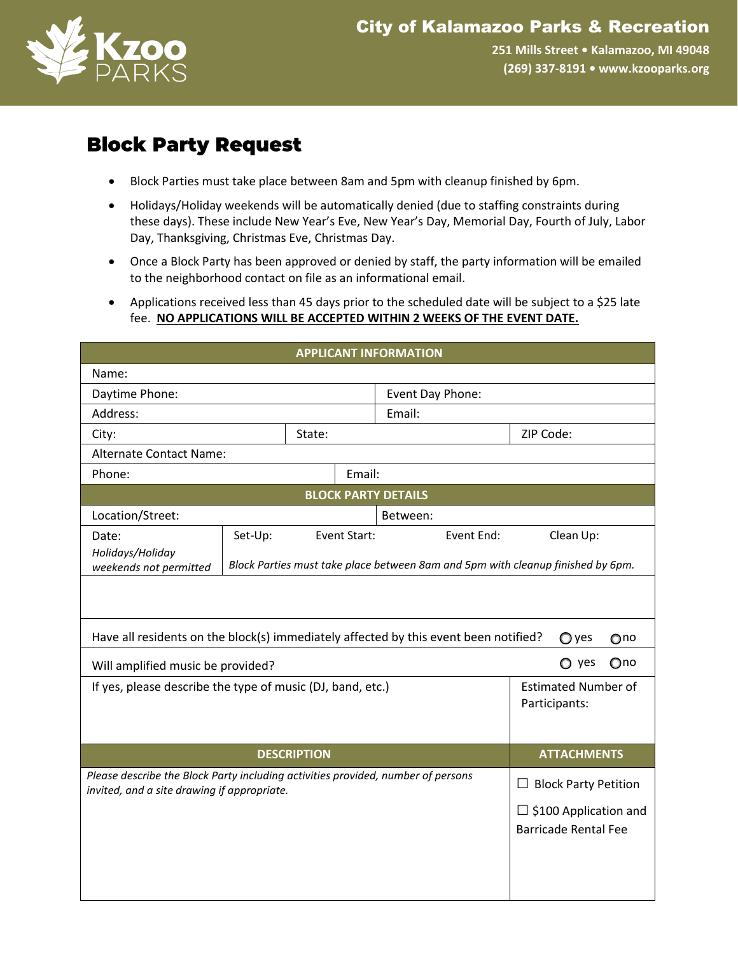

**251 Mills Street • Kalamazoo, MI 49048 (269) 337-8191 • www.kzooparks.org**

## **Block Party Request**

- Block Parties must take place between 8am and 5pm with cleanup finished by 6pm.
- Holidays/Holiday weekends will be automatically denied (due to staffing constraints during these days). These include New Year's Eve, New Year's Day, Memorial Day, Fourth of July, Labor Day, Thanksgiving, Christmas Eve, Christmas Day.
- Once a Block Party has been approved or denied by staff, the party information will be emailed to the neighborhood contact on file as an informational email.
- Applications received less than 45 days prior to the scheduled date will be subject to a \$25 late fee. **NO APPLICATIONS WILL BE ACCEPTED WITHIN 2 WEEKS OF THE EVENT DATE.**

| <b>APPLICANT INFORMATION</b>                                                                                     |  |                    |                              |                                                      |                                                                                                                                                                     |
|------------------------------------------------------------------------------------------------------------------|--|--------------------|------------------------------|------------------------------------------------------|---------------------------------------------------------------------------------------------------------------------------------------------------------------------|
|                                                                                                                  |  |                    |                              |                                                      |                                                                                                                                                                     |
| Daytime Phone:                                                                                                   |  |                    | Event Day Phone:             |                                                      |                                                                                                                                                                     |
| Address:                                                                                                         |  |                    | Email:                       |                                                      |                                                                                                                                                                     |
| State:<br>City:                                                                                                  |  |                    | ZIP Code:                    |                                                      |                                                                                                                                                                     |
| <b>Alternate Contact Name:</b>                                                                                   |  |                    |                              |                                                      |                                                                                                                                                                     |
|                                                                                                                  |  |                    |                              |                                                      |                                                                                                                                                                     |
|                                                                                                                  |  |                    |                              |                                                      |                                                                                                                                                                     |
|                                                                                                                  |  |                    | Between:                     |                                                      |                                                                                                                                                                     |
| Set-Up:                                                                                                          |  |                    |                              | Event End:                                           | Clean Up:                                                                                                                                                           |
|                                                                                                                  |  |                    |                              |                                                      |                                                                                                                                                                     |
|                                                                                                                  |  |                    |                              |                                                      |                                                                                                                                                                     |
|                                                                                                                  |  |                    |                              |                                                      |                                                                                                                                                                     |
|                                                                                                                  |  |                    |                              |                                                      |                                                                                                                                                                     |
| Have all residents on the block(s) immediately affected by this event been notified?<br>○ yes<br>O <sub>no</sub> |  |                    |                              |                                                      |                                                                                                                                                                     |
| Qno<br>$\bigcirc$ yes<br>Will amplified music be provided?                                                       |  |                    |                              |                                                      |                                                                                                                                                                     |
| If yes, please describe the type of music (DJ, band, etc.)                                                       |  |                    |                              | <b>Estimated Number of</b>                           |                                                                                                                                                                     |
|                                                                                                                  |  |                    | Participants:                |                                                      |                                                                                                                                                                     |
|                                                                                                                  |  |                    |                              |                                                      |                                                                                                                                                                     |
|                                                                                                                  |  |                    |                              | <b>ATTACHMENTS</b>                                   |                                                                                                                                                                     |
|                                                                                                                  |  |                    |                              |                                                      |                                                                                                                                                                     |
| invited, and a site drawing if appropriate.                                                                      |  |                    |                              | <b>Block Party Petition</b><br>$\Box$                |                                                                                                                                                                     |
|                                                                                                                  |  |                    | $\Box$ \$100 Application and |                                                      |                                                                                                                                                                     |
|                                                                                                                  |  |                    | <b>Barricade Rental Fee</b>  |                                                      |                                                                                                                                                                     |
|                                                                                                                  |  |                    |                              |                                                      |                                                                                                                                                                     |
|                                                                                                                  |  |                    |                              |                                                      |                                                                                                                                                                     |
|                                                                                                                  |  |                    |                              |                                                      |                                                                                                                                                                     |
|                                                                                                                  |  | <b>DESCRIPTION</b> |                              | Email:<br><b>BLOCK PARTY DETAILS</b><br>Event Start: | Block Parties must take place between 8am and 5pm with cleanup finished by 6pm.<br>Please describe the Block Party including activities provided, number of persons |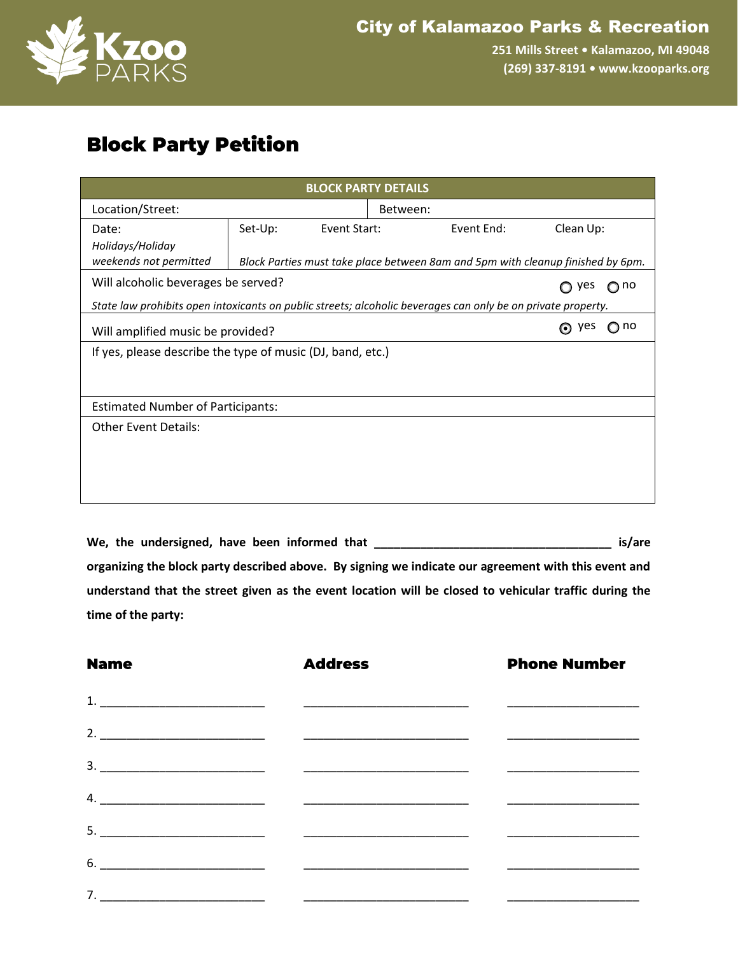

**251 Mills Street • Kalamazoo, MI 49048 (269) 337-8191 • www.kzooparks.org**

## **Block Party Petition**

| <b>BLOCK PARTY DETAILS</b>                                                                                   |                                                                                 |              |          |            |         |           |  |
|--------------------------------------------------------------------------------------------------------------|---------------------------------------------------------------------------------|--------------|----------|------------|---------|-----------|--|
| Location/Street:                                                                                             |                                                                                 |              | Between: |            |         |           |  |
| Date:                                                                                                        | Set-Up:                                                                         | Event Start: |          | Event End: |         | Clean Up: |  |
| Holidays/Holiday                                                                                             |                                                                                 |              |          |            |         |           |  |
| weekends not permitted                                                                                       | Block Parties must take place between 8am and 5pm with cleanup finished by 6pm. |              |          |            |         |           |  |
|                                                                                                              | Will alcoholic beverages be served?<br>yes<br>$\bigcirc$ no                     |              |          |            |         |           |  |
| State law prohibits open intoxicants on public streets; alcoholic beverages can only be on private property. |                                                                                 |              |          |            |         |           |  |
| <b>ves</b><br>⊙<br>Will amplified music be provided?                                                         |                                                                                 |              |          |            | no<br>0 |           |  |
| If yes, please describe the type of music (DJ, band, etc.)                                                   |                                                                                 |              |          |            |         |           |  |
|                                                                                                              |                                                                                 |              |          |            |         |           |  |
|                                                                                                              |                                                                                 |              |          |            |         |           |  |
| <b>Estimated Number of Participants:</b>                                                                     |                                                                                 |              |          |            |         |           |  |
| <b>Other Event Details:</b>                                                                                  |                                                                                 |              |          |            |         |           |  |
|                                                                                                              |                                                                                 |              |          |            |         |           |  |
|                                                                                                              |                                                                                 |              |          |            |         |           |  |
|                                                                                                              |                                                                                 |              |          |            |         |           |  |
|                                                                                                              |                                                                                 |              |          |            |         |           |  |

**We, the undersigned, have been informed that \_\_\_\_\_\_\_\_\_\_\_\_\_\_\_\_\_\_\_\_\_\_\_\_\_\_\_\_\_\_\_\_\_\_\_\_ is/are organizing the block party described above. By signing we indicate our agreement with this event and understand that the street given as the event location will be closed to vehicular traffic during the time of the party:**

| <b>Name</b> | <b>Address</b>                                                                                                                                                                                                                                                                                                                                                                                                     | <b>Phone Number</b> |  |  |
|-------------|--------------------------------------------------------------------------------------------------------------------------------------------------------------------------------------------------------------------------------------------------------------------------------------------------------------------------------------------------------------------------------------------------------------------|---------------------|--|--|
|             |                                                                                                                                                                                                                                                                                                                                                                                                                    |                     |  |  |
|             |                                                                                                                                                                                                                                                                                                                                                                                                                    |                     |  |  |
|             | $\overline{\phantom{a}3.}$ $\overline{\phantom{a}3.}$ $\overline{\phantom{a}4.}$ $\overline{\phantom{a}5.}$ $\overline{\phantom{a}0.}$ $\overline{\phantom{a}0.}$ $\overline{\phantom{a}0.}$ $\overline{\phantom{a}0.}$ $\overline{\phantom{a}0.}$ $\overline{\phantom{a}0.}$ $\overline{\phantom{a}0.}$ $\overline{\phantom{a}0.}$ $\overline{\phantom{a}0.}$ $\overline{\phantom{a}0.}$ $\overline{\phantom{a}0$ |                     |  |  |
|             |                                                                                                                                                                                                                                                                                                                                                                                                                    |                     |  |  |
|             |                                                                                                                                                                                                                                                                                                                                                                                                                    |                     |  |  |
|             | $\overline{6.}$                                                                                                                                                                                                                                                                                                                                                                                                    |                     |  |  |
|             |                                                                                                                                                                                                                                                                                                                                                                                                                    |                     |  |  |